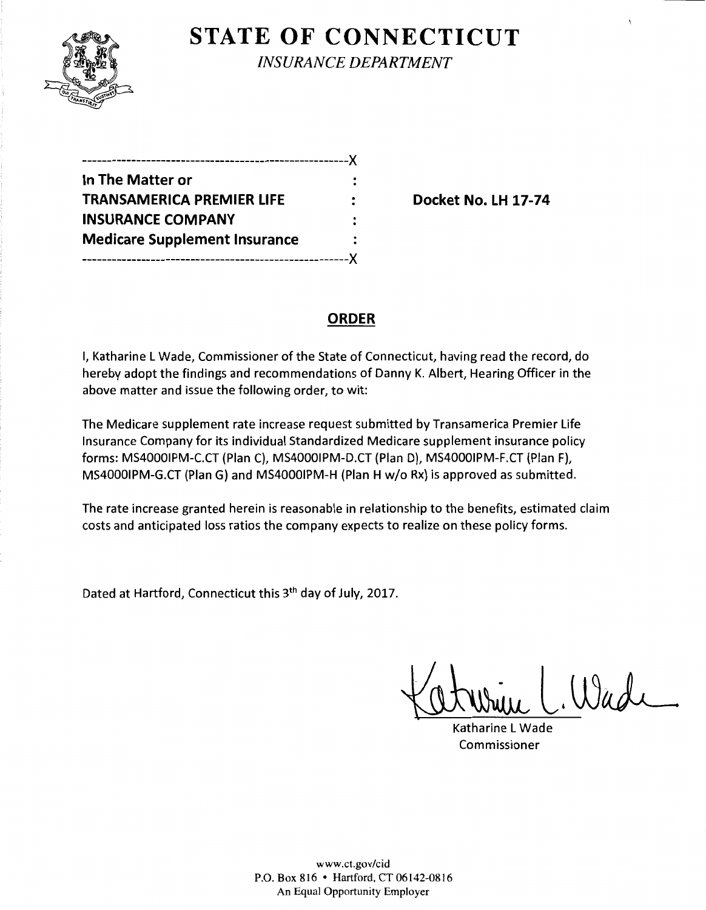

## **STATE OF CONNECTICUT**

*INSURANCE DEPARTMENT* 

| -------------------------------      |  |
|--------------------------------------|--|
| In The Matter or                     |  |
| <b>TRANSAMERICA PREMIER LIFE</b>     |  |
| <b>INSURANCE COMPANY</b>             |  |
| <b>Medicare Supplement Insurance</b> |  |
|                                      |  |

**Docket No. LH 17-74** 

## **ORDER**

I, Katharine L Wade, Commissioner of the State of Connecticut, having read the record, do hereby adopt the findings and recommendations of Danny K. Albert, Hearing Officer in the above matter and issue the following order, to wit:

The Medicare supplement rate increase request submitted by Transamerica Premier Life Insurance Company for its individual Standardized Medicare supplement insurance policy forms: MS40001PM-C.CT {Plan C), MS40001PM-D.CT {Plan D), MS40001PM-F.CT {Plan F), MS40001PM-G.CT {Plan G) and MS40001PM-H {Plan H w/o Rx) is approved as submitted.

The rate increase granted herein is reasonable in relationship to the benefits, estimated claim costs and anticipated loss ratios the company expects to realize on these policy forms.

Dated at Hartford, Connecticut this 3th day of July, 2017.

Wade

Katharine L Wade Commissioner

www.ct.gov/cid P.O. Box 816 • Hartford, CT 06142-0816 An Equal Opportunity Employer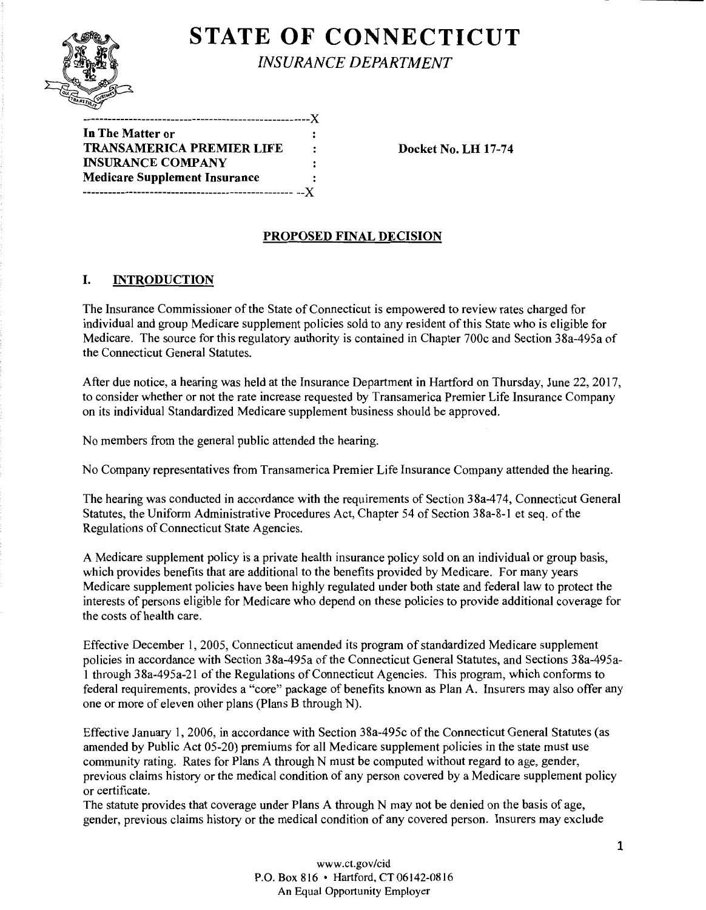

# **STATE OF CONNECTICUT**

*INSURANCE DEPARTMENT* 

| In The Matter or                     |                      |
|--------------------------------------|----------------------|
| <b>TRANSAMERICA PREMIER LIFE</b>     | $\ddot{\phantom{a}}$ |
| <b>INSURANCE COMPANY</b>             | $\ddot{\cdot}$       |
| <b>Medicare Supplement Insurance</b> | :                    |
|                                      |                      |

Docket No. LH 17-74

### PROPOSED FINAL DECISION

### I. INTRODUCTION

The Insurance Commissioner of the State of Connecticut is empowered to review rates charged for individual and group Medicare supplement policies sold to any resident of this State who is eligible for Medicare. The source for this regulatory authority is contained in Chapter 700c and Section 38a-495a of the Connecticut General Statutes.

After due notice, a hearing was held at the Insurance Department in Hartford on Thursday, June 22, 2017, to consider whether or not the rate increase requested by Transamerica Premier Life Insurance Company on its individual Standardized Medicare supplement business should be approved.

No members from the general public attended the hearing.

No Company representatives from Transamerica Premier Life Insurance Company attended the hearing.

The hearing was conducted in accordance with the requirements of Section 38a-474, Connecticut General Statutes, the Uniform Administrative Procedures Act, Chapter 54 of Section 38a-8-1 et seq. of the Regulations of Connecticut State Agencies.

A Medicare supplement policy is a private health insurance policy sold on an individual or group basis, which provides benefits that are additional to the benefits provided by Medicare. For many years Medicare supplement policies have been highly regulated under both state and federal law to protect the interests of persons eligible for Medicare who depend on these policies to provide additional coverage for the costs of health care.

Effective December 1, 2005, Connecticut amended its program of standardized Medicare supplement policies in accordance with Section 38a-495a of the Connecticut General Statutes, and Sections 38a-495a-1 through 38a-495a-21 ofthe Regulations of Connecticut Agencies. This program, which conforms to federal requirements, provides a "core" package of benefits known as Plan A. Insurers may also offer any one or more of eleven other plans (Plans B through N).

Effective January 1, 2006, in accordance with Section 38a-495c ofthe Connecticut General Statutes (as amended by Public Act 05-20) premiums for all Medicare supplement policies in the state must use community rating. Rates for Plans A through N must be computed without regard to age, gender, previous claims history or the medical condition of any person covered by a Medicare supplement policy or certificate.

The statute provides that coverage under Plans A through N may not be denied on the basis of age, gender, previous claims history or the medical condition of any covered person. Insurers may exclude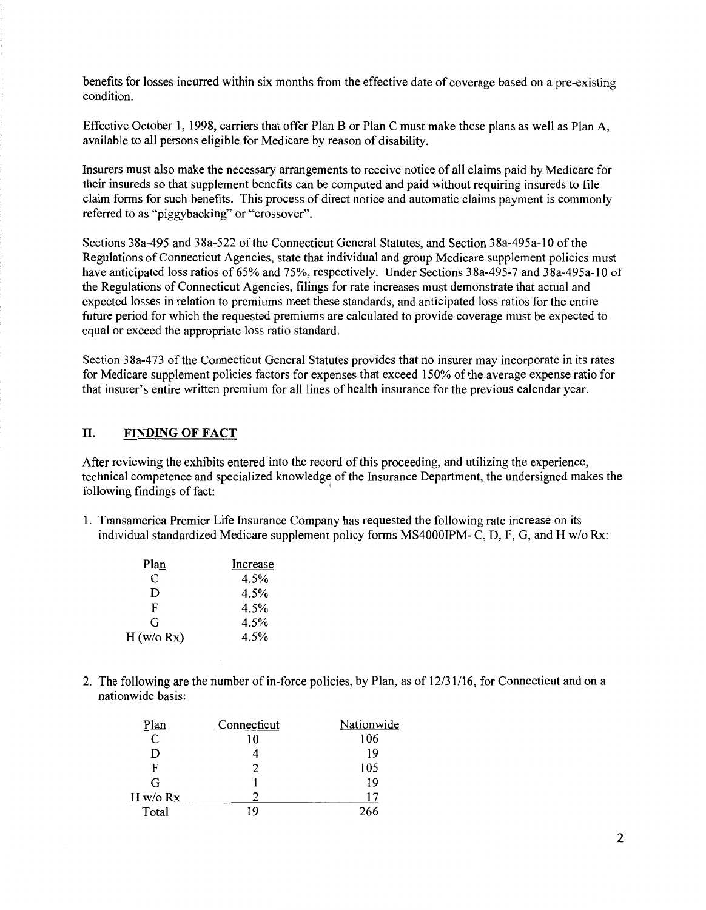benefits for losses incurred within six months from the effective date of coverage based on a pre-existing condition.

Effective October 1, 1998, carriers that offer Plan B or Plan C must make these plans as well as Plan A, available to all persons eligible for Medicare by reason of disability.

Insurers must also make the necessary arrangements to receive notice of all claims paid by Medicare for their insureds so that supplement benefits can be computed and paid without requiring insureds to file claim forms for such benefits. This process of direct notice and automatic claims payment is commonly referred to as "piggybacking" or "crossover".

Sections 38a-495 and 38a-522 of the Connecticut General Statutes, and Section 38a-495a-10 of the Regulations of Connecticut Agencies, state that individual and group Medicare supplement policies must have anticipated loss ratios of 65% and 75%, respectively. Under Sections 38a-495-7 and 38a-495a-10 of the Regulations of Connecticut Agencies, filings for rate increases must demonstrate that actual and expected losses in relation to premiums meet these standards, and anticipated loss ratios for the entire future period for which the requested premiums are calculated to provide coverage must be expected to equal or exceed the appropriate loss ratio standard.

Section 38a-473 of the Connecticut General Statutes provides that no insurer may incorporate in its rates for Medicare supplement policies factors for expenses that exceed 150% of the average expense ratio for that insurer's entire written premium for all lines of health insurance for the previous calendar year.

#### II. FINDING OF FACT

After reviewing the exhibits entered into the record of this proceeding, and utilizing the experience, technical competence and specialized knowledge of the Insurance Department, the undersigned makes the following findings of fact:

1. Transamerica Premier Life Insurance Company has requested the following rate increase on its individual standardized Medicare supplement policy forms MS4000IPM- C, D, F, G, and H w/o Rx:

| Plan       | Increase |
|------------|----------|
| C          | 4.5%     |
| D          | 4.5%     |
| F          | 4.5%     |
| G          | 4.5%     |
| H (w/o Rx) | 4.5%     |

2. The following are the number of in-force policies, by Plan, as of  $12/31/16$ , for Connecticut and on a nationwide basis:

| 'lan                        | Connecticut | Nationwide |
|-----------------------------|-------------|------------|
| $\mathcal{C}_{\mathcal{C}}$ | 10          | 106        |
| D                           |             | 19         |
| F                           |             | 105        |
| G                           |             | 19         |
| H w/o Rx                    |             |            |
| Total                       |             | 266        |